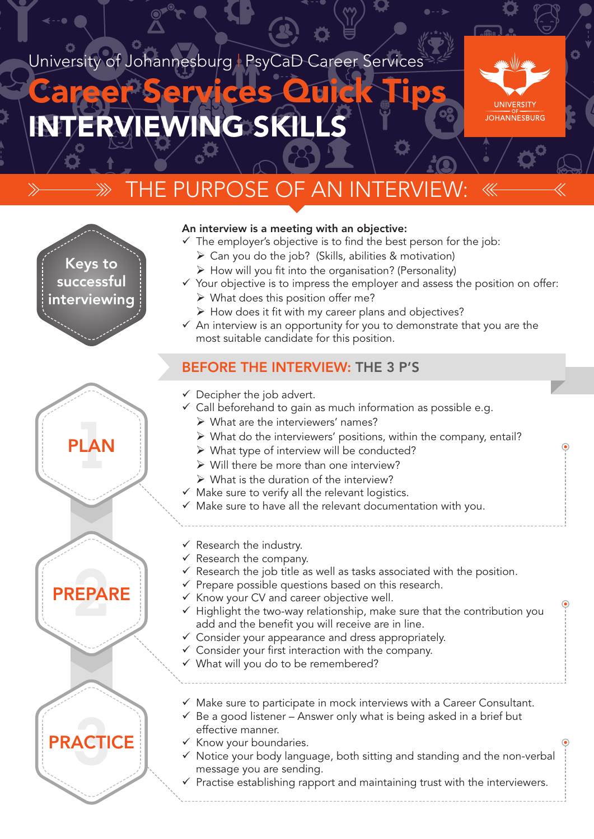# University of Johannesburg | PsyCaD Career Services

# WING SKI Career Services Quick Tips

Keys to successful interviewing

PLAN

PREPARE

**PRACTICE** 



# THE PURPOSE OF AN INTERVI



- $\checkmark$  The employer's objective is to find the best person for the job:
	- $\triangleright$  Can you do the job? (Skills, abilities & motivation)
	- $\triangleright$  How will you fit into the organisation? (Personality)
- $\checkmark$  Your objective is to impress the employer and assess the position on offer:
	- $\triangleright$  What does this position offer me?
	- $\triangleright$  How does it fit with my career plans and objectives?
- $\checkmark$  An interview is an opportunity for you to demonstrate that you are the most suitable candidate for this position.

## BEFORE THE INTERVIEW: THE 3 P'S

- $\checkmark$  Decipher the job advert.
- $\checkmark$  Call beforehand to gain as much information as possible e.g.
	- $\triangleright$  What are the interviewers' names?
	- $\triangleright$  What do the interviewers' positions, within the company, entail?
	- $\triangleright$  What type of interview will be conducted?
	- $\triangleright$  Will there be more than one interview?
	- $\triangleright$  What is the duration of the interview?
- $\checkmark$  Make sure to verify all the relevant logistics.
- $\checkmark$  Make sure to have all the relevant documentation with you.
- $\checkmark$  Research the industry.
- $\checkmark$  Research the company.
- $\checkmark$  Research the job title as well as tasks associated with the position.
- $\checkmark$  Prepare possible questions based on this research.
- $\checkmark$  Know your CV and career objective well.
- $\checkmark$  Highlight the two-way relationship, make sure that the contribution you add and the benefit you will receive are in line.
- $\checkmark$  Consider your appearance and dress appropriately.
- $\checkmark$  Consider your first interaction with the company.
- $\checkmark$  What will you do to be remembered?
- $\checkmark$  Make sure to participate in mock interviews with a Career Consultant.
- $\checkmark$  Be a good listener Answer only what is being asked in a brief but effective manner.
- $\checkmark$  Know your boundaries.
- $\checkmark$  Notice your body language, both sitting and standing and the non-verbal message you are sending.
- $\checkmark$  Practise establishing rapport and maintaining trust with the interviewers.